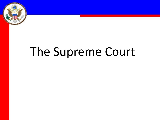

# The Supreme Court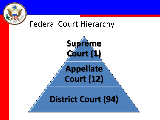

#### Federal Court Hierarchy

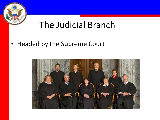

# The Judicial Branch

• Headed by the Supreme Court

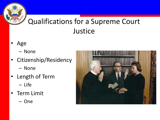#### Qualifications for a Supreme Court **Justice**

- Age
	- None
- Citizenship/Residency – None
- Length of Term
	- Life
- Term Limit
	- One

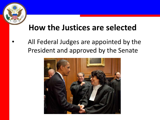## **How the Justices are selected**

All Federal Judges are appointed by the President and approved by the Senate

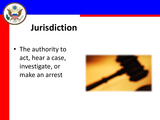

# **Jurisdiction**

• The authority to act, hear a case, investigate, or make an arrest

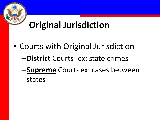# **Original Jurisdiction**

• Courts with Original Jurisdiction –**District** Courts- ex: state crimes –**Supreme** Court- ex: cases between states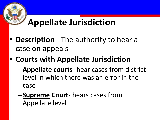# **Appellate Jurisdiction**

- **Description**  The authority to hear a case on appeals
- **Courts with Appellate Jurisdiction**
	- –**Appellate courts-** hear cases from district level in which there was an error in the case
	- –**Supreme Court-** hears cases from Appellate level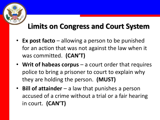## **Limits on Congress and Court System**

- **Ex post facto** allowing a person to be punished for an action that was not against the law when it was committed. **(CAN'T)**
- **Writ of habeas corpus** a court order that requires police to bring a prisoner to court to explain why they are holding the person. **(MUST)**
- **Bill of attainder** a law that punishes a person accused of a crime without a trial or a fair hearing in court. **(CAN'T)**